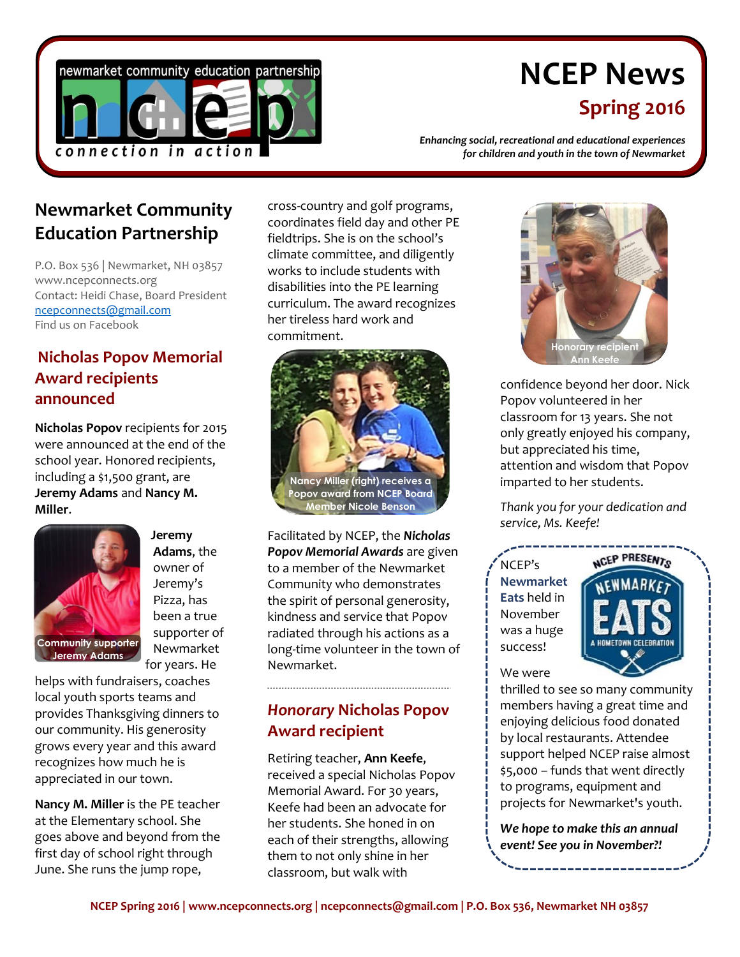

# **NCEP News Spring 2016**

*Enhancing social, recreational and educational experiences for children and youth in the town of Newmarket*

## **Newmarket Community Education Partnership**

P.O. Box 536 | Newmarket, NH 03857 www.ncepconnects.org Contact: Heidi Chase, Board President [ncepconnects@gmail.com](mailto:ncepconnects@gmail.com) Find us on Facebook

### **Nicholas Popov Memorial Award recipients announced**

**Nicholas Popov** recipients for 2015 were announced at the end of the school year. Honored recipients, including a \$1,500 grant, are **Jeremy Adams** and **Nancy M. Miller**.



**Jeremy Adams**, the owner of Jeremy's Pizza, has been a true supporter of Newmarket for years. He

helps with fundraisers, coaches local youth sports teams and provides Thanksgiving dinners to our community. His generosity grows every year and this award recognizes how much he is appreciated in our town.

**Nancy M. Miller** is the PE teacher at the Elementary school. She goes above and beyond from the first day of school right through June. She runs the jump rope,

cross-country and golf programs, coordinates field day and other PE fieldtrips. She is on the school's climate committee, and diligently works to include students with disabilities into the PE learning curriculum. The award recognizes her tireless hard work and commitment.



Facilitated by NCEP, the *Nicholas Popov Memorial Awards* are given to a member of the Newmarket Community who demonstrates the spirit of personal generosity, kindness and service that Popov radiated through his actions as a long-time volunteer in the town of Newmarket.

## *Honorary* **Nicholas Popov Award recipient**

Retiring teacher, **Ann Keefe**, received a special Nicholas Popov Memorial Award. For 30 years, Keefe had been an advocate for her students. She honed in on each of their strengths, allowing them to not only shine in her classroom, but walk with



confidence beyond her door. Nick Popov volunteered in her classroom for 13 years. She not only greatly enjoyed his company, but appreciated his time, attention and wisdom that Popov imparted to her students.

*Thank you for your dedication and service, Ms. Keefe!*

NCEP's **Newmarket Eats** held in November was a huge success!



We were

thrilled to see so many community members having a great time and enjoying delicious food donated by local restaurants. Attendee support helped NCEP raise almost \$5,000 – funds that went directly to programs, equipment and projects for Newmarket's youth.

*We hope to make this an annual event! See you in November?!*